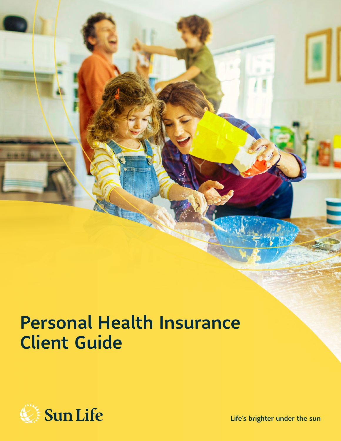# Personal Health Insurance Client Guide



Life's brighter under the sun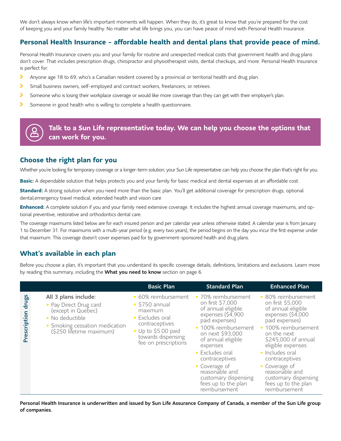We don't always know when life's important moments will happen. When they do, it's great to know that you're prepared for the cost of keeping you and your family healthy. No matter what life brings you, you can have peace of mind with Personal Health Insurance.

### **Personal Health Insurance - affordable health and dental plans that provide peace of mind.**

Personal Health Insurance covers you and your family for routine and unexpected medical costs that government health and drug plans don't cover. That includes prescription drugs, chiropractor and physiotherapist visits, dental checkups, and more. Personal Health Insurance is perfect for:

- ⋟ Anyone age 18 to 69, who's a Canadian resident covered by a provincial or territorial health and drug plan.
- $\blacktriangleright$ Small business owners, self-employed and contract workers, freelancers, or retirees.
- ⋟ Someone who is losing their workplace coverage or would like more coverage than they can get with their employer's plan.
- ⋟ Someone in good health who is willing to complete a health questionnaire.

### **Talk to a Sun Life representative today. We can help you choose the options that can work for you.**

### **Choose the right plan for you**

Whether you're looking for temporary coverage or a longer-term solution, your Sun Life representative can help you choose the plan that's right for you.

**Basic:** A dependable solution that helps protects you and your family for basic medical and dental expenses at an affordable cost.

**Standard:** A strong solution when you need more than the basic plan. You'll get additional coverage for prescription drugs, optional dental,emergency travel medical, extended health and vision care

**Enhanced:** A complete solution if you and your family need extensive coverage. It includes the highest annual coverage maximums, and optional preventive, restorative and orthodontics dental care.

The coverage maximums listed below are for each insured person and per calendar year unless otherwise stated. A calendar year is from January 1 to December 31. For maximums with a multi-year period (e.g. every two years), the period begins on the day you incur the first expense under that maximum. This coverage doesn't cover expenses paid for by government-sponsored health and drug plans.

### **What's available in each plan**

Before you choose a plan, it's important that you understand its specific coverage details, definitions, limitations and exclusions. Learn more by reading this summary, including the What you need to know section on page 6.

|                       |                                                                                                                                                       | <b>Basic Plan</b>                                                                                                                                                        | <b>Standard Plan</b>                                                                                                                                                                                                                                                                                                       | <b>Enhanced Plan</b>                                                                                                                                                                                                                                                                                                            |
|-----------------------|-------------------------------------------------------------------------------------------------------------------------------------------------------|--------------------------------------------------------------------------------------------------------------------------------------------------------------------------|----------------------------------------------------------------------------------------------------------------------------------------------------------------------------------------------------------------------------------------------------------------------------------------------------------------------------|---------------------------------------------------------------------------------------------------------------------------------------------------------------------------------------------------------------------------------------------------------------------------------------------------------------------------------|
| drugs<br>Prescription | All 3 plans include:<br>• Pay Direct Drug card<br>(except in Quebec)<br>• No deductible<br>• Smoking cessation medication<br>(\$250 lifetime maximum) | • 60% reimbursement<br>$\cdot$ \$750 annual<br>maximum<br>• Excludes oral<br>contraceptives<br>$\bullet$ Up to \$5.00 paid<br>towards dispensing<br>fee on prescriptions | • 70% reimbursement<br>on first \$7,000<br>of annual eligible<br>expenses (\$4,900<br>paid expenses)<br>• 100% reimbursement<br>on next \$93,000<br>of annual eligible<br>expenses<br>• Excludes oral<br>contraceptives<br>• Coverage of<br>reasonable and<br>customary dispensing<br>fees up to the plan<br>reimbursement | • 80% reimbursement<br>on first \$5,000<br>of annual eligible<br>expenses (\$4,000<br>paid expenses)<br>· 100% reimbursement<br>on the next<br>\$245,000 of annual<br>eligible expenses<br>• Includes oral<br>contraceptives<br>• Coverage of<br>reasonable and<br>customary dispensing<br>fees up to the plan<br>reimbursement |

Personal Health Insurance is underwritten and issued by Sun Life Assurance Company of Canada, a member of the Sun Life group of companies.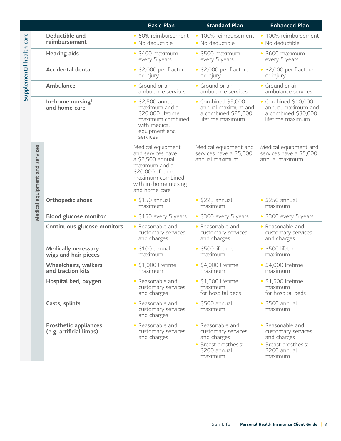|                          |                                |                                                         | <b>Basic Plan</b>                                                                                                                                             | <b>Standard Plan</b>                                                                                     | <b>Enhanced Plan</b>                                                                                     |
|--------------------------|--------------------------------|---------------------------------------------------------|---------------------------------------------------------------------------------------------------------------------------------------------------------------|----------------------------------------------------------------------------------------------------------|----------------------------------------------------------------------------------------------------------|
|                          |                                | Deductible and<br>reimbursement                         | · 60% reimbursement<br>· No deductible                                                                                                                        | · 100% reimbursement<br>· No deductible                                                                  | · 100% reimbursement<br>· No deductible                                                                  |
|                          |                                | <b>Hearing aids</b>                                     | $\cdot$ \$400 maximum<br>every 5 years                                                                                                                        | $\cdot$ \$500 maximum<br>every 5 years                                                                   | $\cdot$ \$600 maximum<br>every 5 years                                                                   |
| Supplemental health care |                                | <b>Accidental dental</b>                                | $\cdot$ \$2,000 per fracture<br>or injury                                                                                                                     | · \$2,000 per fracture<br>or injury                                                                      | $\bullet$ \$2,000 per fracture<br>or injury                                                              |
|                          |                                | Ambulance                                               | • Ground or air<br>ambulance services                                                                                                                         | • Ground or air<br>ambulance services                                                                    | • Ground or air<br>ambulance services                                                                    |
|                          |                                | In-home nursing <sup>1</sup><br>and home care           | \$2,500 annual<br>maximum and a<br>\$20,000 lifetime<br>maximum combined<br>with medical<br>equipment and<br>services                                         | • Combined \$5,000<br>annual maximum and<br>a combined $$25,000$<br>lifetime maximum                     | • Combined \$10,000<br>annual maximum and<br>a combined \$30,000<br>lifetime maximum                     |
|                          | Medical equipment and services |                                                         | Medical equipment<br>and services have<br>a \$2,500 annual<br>maximum and a<br>\$20,000 lifetime<br>maximum combined<br>with in-home nursing<br>and home care | Medical equipment and<br>services have a \$5,000<br>annual maximum                                       | Medical equipment and<br>services have a \$5,000<br>annual maximum                                       |
|                          |                                | Orthopedic shoes                                        | $\cdot$ \$150 annual<br>maximum                                                                                                                               | $\cdot$ \$225 annual<br>maximum                                                                          | $\cdot$ \$250 annual<br>maximum                                                                          |
|                          |                                | <b>Blood glucose monitor</b>                            | $\cdot$ \$150 every 5 years                                                                                                                                   | • \$300 every 5 years                                                                                    | • \$300 every 5 years                                                                                    |
|                          |                                | Continuous glucose monitors                             | • Reasonable and<br>customary services<br>and charges                                                                                                         | • Reasonable and<br>customary services<br>and charges                                                    | • Reasonable and<br>customary services<br>and charges                                                    |
|                          |                                | <b>Medically necessary</b><br>wigs and hair pieces      | $\cdot$ \$100 annual<br>maximum                                                                                                                               | · \$500 lifetime<br>maximum                                                                              | · \$500 lifetime<br>maximum                                                                              |
|                          |                                | <b>Wheelchairs, walkers</b><br>and traction kits        | $\cdot$ \$1,000 lifetime<br>maximum                                                                                                                           | $\cdot$ \$4,000 lifetime<br>maximum                                                                      | · \$4,000 lifetime<br>maximum                                                                            |
|                          |                                | Hospital bed, oxygen                                    | • Reasonable and<br>customary services<br>and charges                                                                                                         | $\cdot$ \$1,500 lifetime<br>maximum<br>for hospital beds                                                 | $\cdot$ \$1,500 lifetime<br>maximum<br>for hospital beds                                                 |
|                          |                                | Casts, splints                                          | Reasonable and<br>customary services<br>and charges                                                                                                           | $\cdot$ \$500 annual<br>maximum                                                                          | $\cdot$ \$500 annual<br>maximum                                                                          |
|                          |                                | <b>Prosthetic appliances</b><br>(e.g. artificial limbs) | • Reasonable and<br>customary services<br>and charges                                                                                                         | • Reasonable and<br>customary services<br>and charges<br>• Breast prosthesis:<br>\$200 annual<br>maximum | • Reasonable and<br>customary services<br>and charges<br>• Breast prosthesis:<br>\$200 annual<br>maximum |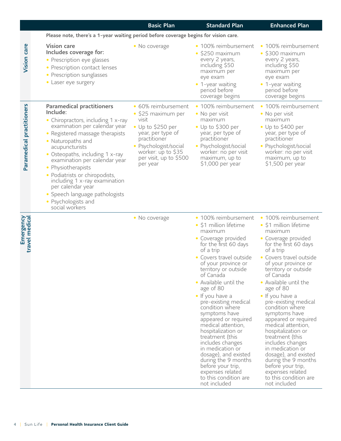|                                                                                                                                                                                                                                                                                                                                                                                                                                                          | <b>Basic Plan</b>                                                                                                                                                                                                 | <b>Standard Plan</b>                                                                                                                                                                                                                                                                                                                                                                                                                                                                                                                                                               | <b>Enhanced Plan</b>                                                                                                                                                                                                                                                                                                                                                                                                                                                                                                                                                               |
|----------------------------------------------------------------------------------------------------------------------------------------------------------------------------------------------------------------------------------------------------------------------------------------------------------------------------------------------------------------------------------------------------------------------------------------------------------|-------------------------------------------------------------------------------------------------------------------------------------------------------------------------------------------------------------------|------------------------------------------------------------------------------------------------------------------------------------------------------------------------------------------------------------------------------------------------------------------------------------------------------------------------------------------------------------------------------------------------------------------------------------------------------------------------------------------------------------------------------------------------------------------------------------|------------------------------------------------------------------------------------------------------------------------------------------------------------------------------------------------------------------------------------------------------------------------------------------------------------------------------------------------------------------------------------------------------------------------------------------------------------------------------------------------------------------------------------------------------------------------------------|
|                                                                                                                                                                                                                                                                                                                                                                                                                                                          |                                                                                                                                                                                                                   |                                                                                                                                                                                                                                                                                                                                                                                                                                                                                                                                                                                    |                                                                                                                                                                                                                                                                                                                                                                                                                                                                                                                                                                                    |
| <b>Vision care</b><br>Includes coverage for:<br>• Prescription eye glasses<br>• Prescription contact lenses<br>• Prescription sunglasses<br>• Laser eye surgery                                                                                                                                                                                                                                                                                          | • No coverage                                                                                                                                                                                                     | • 100% reimbursement<br>$\cdot$ \$250 maximum<br>every 2 years,<br>including \$50<br>maximum per<br>eye exam<br>• 1-year waiting<br>period before<br>coverage begins                                                                                                                                                                                                                                                                                                                                                                                                               | • 100% reimbursement<br>$\cdot$ \$300 maximum<br>every 2 years,<br>including \$50<br>maximum per<br>eye exam<br>• 1-year waiting<br>period before<br>coverage begins                                                                                                                                                                                                                                                                                                                                                                                                               |
| <b>Paramedical practitioners</b><br>Include:<br>• Chiropractors, including 1 x-ray<br>examination per calendar year<br>Registered massage therapists<br>• Naturopaths and<br>acupuncturists<br>• Osteopaths, including 1 x-ray<br>examination per calendar year<br>• Physiotherapists<br>• Podiatrists or chiropodists,<br>including 1 x-ray examination<br>per calendar year<br>• Speech language pathologists<br>• Psychologists and<br>social workers | • 60% reimbursement<br>$\bullet$ \$25 maximum per<br>visit<br>$\bullet$ Up to \$250 per<br>year, per type of<br>practitioner<br>• Psychologist/social<br>worker: up to \$35<br>per visit, up to \$500<br>per year | • 100% reimbursement<br>• No per visit<br>maximum<br>• Up to \$300 per<br>year, per type of<br>practitioner<br>• Psychologist/social<br>worker: no per visit<br>maximum, up to<br>\$1,000 per year                                                                                                                                                                                                                                                                                                                                                                                 | • 100% reimbursement<br>• No per visit<br>maximum<br>• Up to \$400 per<br>year, per type of<br>practitioner<br>• Psychologist/social<br>worker: no per visit<br>maximum, up to<br>\$1,500 per year                                                                                                                                                                                                                                                                                                                                                                                 |
|                                                                                                                                                                                                                                                                                                                                                                                                                                                          | • No coverage                                                                                                                                                                                                     | • 100% reimbursement<br>• \$1 million lifetime<br>maximum<br>• Coverage provided<br>for the first 60 days<br>of a trip<br>• Covers travel outside<br>of your province or<br>territory or outside<br>of Canada<br>• Available until the<br>age of 80<br>• If you have a<br>pre-existing medical<br>condition where<br>symptoms have<br>appeared or required<br>medical attention,<br>hospitalization or<br>treatment (this<br>includes changes<br>in medication or<br>dosage), and existed<br>during the 9 months<br>before your trip,<br>expenses related<br>to this condition are | • 100% reimbursement<br>• \$1 million lifetime<br>maximum<br>• Coverage provided<br>for the first 60 days<br>of a trip<br>· Covers travel outside<br>of your province or<br>territory or outside<br>of Canada<br>• Available until the<br>age of 80<br>• If you have a<br>pre-existing medical<br>condition where<br>symptoms have<br>appeared or required<br>medical attention,<br>hospitalization or<br>treatment (this<br>includes changes<br>in medication or<br>dosage), and existed<br>during the 9 months<br>before your trip,<br>expenses related<br>to this condition are |
|                                                                                                                                                                                                                                                                                                                                                                                                                                                          |                                                                                                                                                                                                                   |                                                                                                                                                                                                                                                                                                                                                                                                                                                                                                                                                                                    | Please note, there's a 1-year waiting period before coverage begins for vision care.                                                                                                                                                                                                                                                                                                                                                                                                                                                                                               |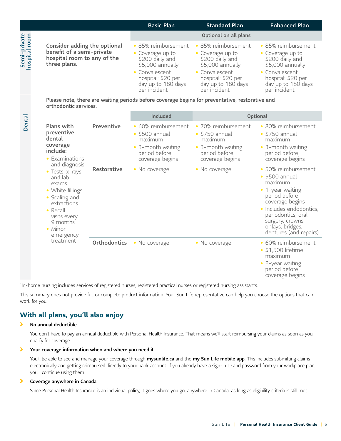|                               |                                                                                                                                                                                                                                                                          |              | <b>Basic Plan</b>                                                                                                                                            | <b>Standard Plan</b>                                                                                                                                       | <b>Enhanced Plan</b>                                                                                                                                                                                                            |
|-------------------------------|--------------------------------------------------------------------------------------------------------------------------------------------------------------------------------------------------------------------------------------------------------------------------|--------------|--------------------------------------------------------------------------------------------------------------------------------------------------------------|------------------------------------------------------------------------------------------------------------------------------------------------------------|---------------------------------------------------------------------------------------------------------------------------------------------------------------------------------------------------------------------------------|
|                               | Consider adding the optional<br>benefit of a semi-private<br>hospital room to any of the<br>three plans.                                                                                                                                                                 |              |                                                                                                                                                              | Optional on all plans                                                                                                                                      |                                                                                                                                                                                                                                 |
| Semi-private<br>hospital room |                                                                                                                                                                                                                                                                          |              | • 85% reimbursement<br>• Coverage up to<br>\$200 daily and<br>\$5,000 annually<br>• Convalescent<br>hospital: \$20 per<br>day up to 180 days<br>per incident | 85% reimbursement<br>• Coverage up to<br>\$200 daily and<br>\$5,000 annually<br>• Convalescent<br>hospital: \$20 per<br>day up to 180 days<br>per incident | • 85% reimbursement<br>• Coverage up to<br>\$200 daily and<br>\$5,000 annually<br>• Convalescent<br>hospital: \$20 per<br>day up to 180 days<br>per incident                                                                    |
|                               | orthodontic services.                                                                                                                                                                                                                                                    |              |                                                                                                                                                              | Please note, there are waiting periods before coverage begins for preventative, restorative and                                                            |                                                                                                                                                                                                                                 |
|                               |                                                                                                                                                                                                                                                                          |              | Included                                                                                                                                                     |                                                                                                                                                            | Optional                                                                                                                                                                                                                        |
| Dental                        | <b>Plans with</b><br>preventive<br>dental<br>coverage<br>include:<br>• Examinations<br>and diagnosis<br>$\bullet$ Tests, x-rays,<br>and lab<br>exams<br>• White fillings<br>• Scaling and<br>extractions<br>• Recall<br>visits every<br>9 months<br>• Minor<br>emergency | Preventive   | · 60% reimbursement<br>$\cdot$ \$500 annual<br>maximum<br>• 3-month waiting<br>period before<br>coverage begins                                              | 70% reimbursement<br>$\bullet$<br>$\cdot$ \$750 annual<br>maximum<br>• 3-month waiting<br>period before<br>coverage begins                                 | • 80% reimbursement<br>$\cdot$ \$750 annual<br>maximum<br>• 3-month waiting<br>period before<br>coverage begins                                                                                                                 |
|                               |                                                                                                                                                                                                                                                                          | Restorative  | • No coverage                                                                                                                                                | • No coverage                                                                                                                                              | 50% reimbursement<br>$\cdot$ \$500 annual<br>maximum<br>• 1-year waiting<br>period before<br>coverage begins<br>· Includes endodontics,<br>periodontics, oral<br>surgery, crowns,<br>onlays, bridges,<br>dentures (and repairs) |
|                               | treatment                                                                                                                                                                                                                                                                | Orthodontics | • No coverage                                                                                                                                                | • No coverage                                                                                                                                              | • 60% reimbursement<br>$\cdot$ \$1,500 lifetime<br>maximum<br>• 2-year waiting<br>period before<br>coverage begins                                                                                                              |

1In-home nursing includes services of registered nurses, registered practical nurses or registered nursing assistants.

This summary does not provide full or complete product information. Your Sun Life representative can help you choose the options that can work for you.

### **With all plans, you'll also enjoy**

#### $\mathbf{\Sigma}$ No annual deductible

You don't have to pay an annual deductible with Personal Health Insurance. That means we'll start reimbursing your claims as soon as you qualify for coverage.

#### $\mathbf{\Sigma}$ Your coverage information when and where you need it

You'll be able to see and manage your coverage through [mysunlife.ca](http://mysunlife.ca) and the my Sun Life mobile app. This includes submitting claims electronically and getting reimbursed directly to your bank account. If you already have a sign-in ID and password from your workplace plan, you'll continue using them.

#### $\blacktriangleright$ Coverage anywhere in Canada

Since Personal Health Insurance is an individual policy, it goes where you go, anywhere in Canada, as long as eligibility criteria is still met.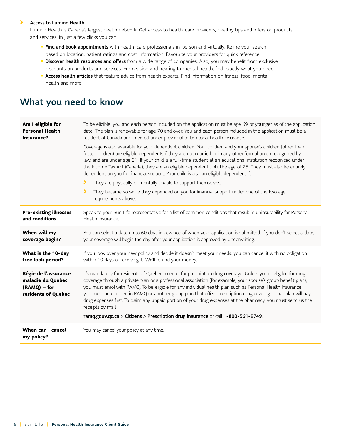#### $\rightarrow$ Access to Lumino Health

Lumino Health is Canada's largest health network. Get access to health-care providers, healthy tips and offers on products and services. In just a few clicks you can:

- Find and book appointments with health-care professionals in-person and virtually. Refine your search based on location, patient ratings and cost information. Favourite your providers for quick reference.
- **· Discover health resources and offers** from a wide range of companies. Also, you may benefit from exclusive discounts on products and services. From vision and hearing to mental health, find exactly what you need.
- **Access health articles** that feature advice from health experts. Find information on fitness, food, mental health and more.

# What you need to know

| Am I eligible for<br><b>Personal Health</b><br>Insurance?                        | To be eligible, you and each person included on the application must be age 69 or younger as of the application<br>date. The plan is renewable for age 70 and over. You and each person included in the application must be a<br>resident of Canada and covered under provincial or territorial health insurance.                                                                                                                                                                                                                                                                                     |  |  |  |
|----------------------------------------------------------------------------------|-------------------------------------------------------------------------------------------------------------------------------------------------------------------------------------------------------------------------------------------------------------------------------------------------------------------------------------------------------------------------------------------------------------------------------------------------------------------------------------------------------------------------------------------------------------------------------------------------------|--|--|--|
|                                                                                  | Coverage is also available for your dependent children. Your children and your spouse's children (other than<br>foster children) are eligible dependents if they are not married or in any other formal union recognized by<br>law, and are under age 21. If your child is a full-time student at an educational institution recognized under<br>the Income Tax Act (Canada), they are an eligible dependent until the age of 25. They must also be entirely<br>dependent on you for financial support. Your child is also an eligible dependent if:                                                  |  |  |  |
|                                                                                  | They are physically or mentally unable to support themselves.<br>⋗                                                                                                                                                                                                                                                                                                                                                                                                                                                                                                                                    |  |  |  |
|                                                                                  | ⋗<br>They became so while they depended on you for financial support under one of the two age<br>requirements above.                                                                                                                                                                                                                                                                                                                                                                                                                                                                                  |  |  |  |
| <b>Pre-existing illnesses</b><br>and conditions                                  | Speak to your Sun Life representative for a list of common conditions that result in uninsurability for Personal<br>Health Insurance.                                                                                                                                                                                                                                                                                                                                                                                                                                                                 |  |  |  |
| When will my<br>coverage begin?                                                  | You can select a date up to 60 days in advance of when your application is submitted. If you don't select a date,<br>your coverage will begin the day after your application is approved by underwriting.                                                                                                                                                                                                                                                                                                                                                                                             |  |  |  |
| What is the 10-day<br>free look period?                                          | If you look over your new policy and decide it doesn't meet your needs, you can cancel it with no obligation<br>within 10 days of receiving it. We'll refund your money.                                                                                                                                                                                                                                                                                                                                                                                                                              |  |  |  |
| Régie de l'assurance<br>maladie du Québec<br>(RAMQ) - for<br>residents of Quebec | It's mandatory for residents of Quebec to enrol for prescription drug coverage. Unless you're eligible for drug<br>coverage through a private plan or a professional association (for example, your spouse's group benefit plan),<br>you must enrol with RAMQ. To be eligible for any individual health plan such as Personal Health Insurance,<br>you must be enrolled in RAMQ or another group plan that offers prescription drug coverage. That plan will pay<br>drug expenses first. To claim any unpaid portion of your drug expenses at the pharmacy, you must send us the<br>receipts by mail. |  |  |  |
|                                                                                  | ramq.gouv.qc.ca > Citizens > Prescription drug insurance or call 1-800-561-9749.                                                                                                                                                                                                                                                                                                                                                                                                                                                                                                                      |  |  |  |
| When can I cancel<br>my policy?                                                  | You may cancel your policy at any time.                                                                                                                                                                                                                                                                                                                                                                                                                                                                                                                                                               |  |  |  |
|                                                                                  |                                                                                                                                                                                                                                                                                                                                                                                                                                                                                                                                                                                                       |  |  |  |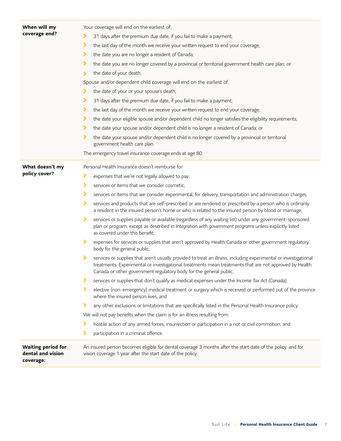| When will my                                                | Your coverage will end on the earliest of:                                                                                                                                                                                                                                                            |  |  |  |
|-------------------------------------------------------------|-------------------------------------------------------------------------------------------------------------------------------------------------------------------------------------------------------------------------------------------------------------------------------------------------------|--|--|--|
| coverage end?                                               | ⋗<br>31 days after the premium due date, if you fail to make a payment;                                                                                                                                                                                                                               |  |  |  |
|                                                             | ▸<br>the last day of the month we receive your written request to end your coverage;                                                                                                                                                                                                                  |  |  |  |
|                                                             | ⋗<br>the date you are no longer a resident of Canada;                                                                                                                                                                                                                                                 |  |  |  |
|                                                             | ⋗<br>the date you are no longer covered by a provincial or territorial government health care plan; or                                                                                                                                                                                                |  |  |  |
|                                                             | the date of your death.<br>$\blacktriangleright$                                                                                                                                                                                                                                                      |  |  |  |
|                                                             | Spouse and/or dependent child coverage will end on the earliest of:                                                                                                                                                                                                                                   |  |  |  |
|                                                             | the date of your or your spouse's death;<br>⋗                                                                                                                                                                                                                                                         |  |  |  |
|                                                             | ▸<br>31 days after the premium due date, if you fail to make a payment;                                                                                                                                                                                                                               |  |  |  |
|                                                             | ⋗<br>the last day of the month we receive your written request to end your coverage;                                                                                                                                                                                                                  |  |  |  |
|                                                             | ⋗<br>the date your eligible spouse and/or dependent child no longer satisfies the eligibility requirements;                                                                                                                                                                                           |  |  |  |
|                                                             | the date your spouse and/or dependent child is no longer a resident of Canada; or<br>⋗                                                                                                                                                                                                                |  |  |  |
|                                                             | ⋗<br>the date your spouse and/or dependent child is no longer covered by a provincial or territorial<br>government health care plan.                                                                                                                                                                  |  |  |  |
|                                                             | The emergency travel insurance coverage ends at age 80.                                                                                                                                                                                                                                               |  |  |  |
| What doesn't my                                             | Personal Health Insurance doesn't reimburse for:                                                                                                                                                                                                                                                      |  |  |  |
| policy cover?                                               | ⋗<br>expenses that we're not legally allowed to pay;                                                                                                                                                                                                                                                  |  |  |  |
|                                                             | ⋗<br>services or items that we consider cosmetic;                                                                                                                                                                                                                                                     |  |  |  |
|                                                             | ⋗<br>services or items that we consider experimental, for delivery, transportation and administration charges;                                                                                                                                                                                        |  |  |  |
|                                                             | ⋗<br>services and products that are self-prescribed or are rendered or prescribed by a person who is ordinarily<br>a resident in the insured person's home or who is related to the insured person by blood or marriage;                                                                              |  |  |  |
|                                                             | ⋗<br>services or supplies payable or available (regardless of any waiting list) under any government-sponsored<br>plan or program, except as described in Integration with government programs unless explicitly listed<br>as covered under this benefit;                                             |  |  |  |
|                                                             | ⋗<br>expenses for services or supplies that aren't approved by Health Canada or other government regulatory<br>body for the general public;                                                                                                                                                           |  |  |  |
|                                                             | ⋗<br>services or supplies that aren't usually provided to treat an illness, including experimental or investigational<br>treatments. Experimental or investigational treatments mean treatments that are not approved by Health<br>Canada or other government regulatory body for the general public; |  |  |  |
|                                                             | ⋗<br>services or supplies that don't qualify as medical expenses under the Income Tax Act (Canada);                                                                                                                                                                                                   |  |  |  |
|                                                             | ⋗<br>elective (non-emergency) medical treatment or surgery which is received or performed out of the province<br>where the insured person lives, and                                                                                                                                                  |  |  |  |
|                                                             | ⋗<br>any other exclusions or limitations that are specifically listed in the Personal Health Insurance policy.                                                                                                                                                                                        |  |  |  |
|                                                             | We will not pay benefits when the claim is for an illness resulting from:                                                                                                                                                                                                                             |  |  |  |
|                                                             | hostile action of any armed forces, insurrection or participation in a riot or civil commotion, and<br>⋗                                                                                                                                                                                              |  |  |  |
|                                                             | ⋗<br>participation in a criminal offence.                                                                                                                                                                                                                                                             |  |  |  |
| <b>Waiting period for</b><br>dental and vision<br>coverage: | An insured person becomes eligible for dental coverage 3 months after the start date of the policy, and for<br>vision coverage 1 year after the start date of the policy.                                                                                                                             |  |  |  |